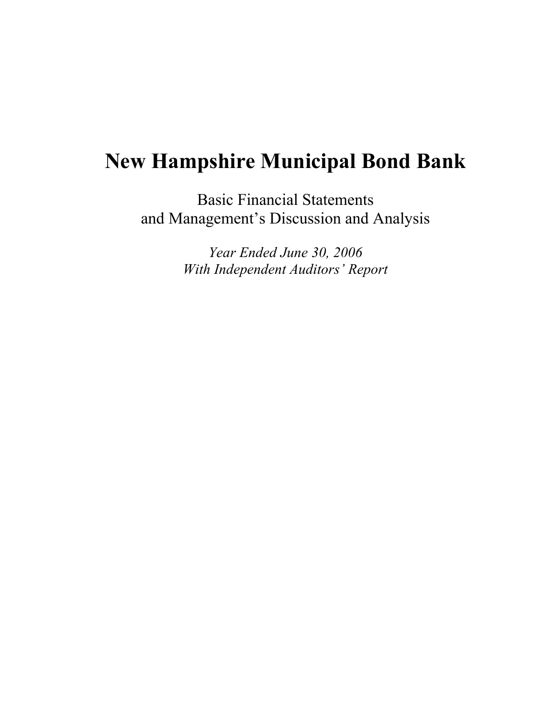# **New Hampshire Municipal Bond Bank**

Basic Financial Statements and Management's Discussion and Analysis

> *Year Ended June 30, 2006 With Independent Auditors' Report*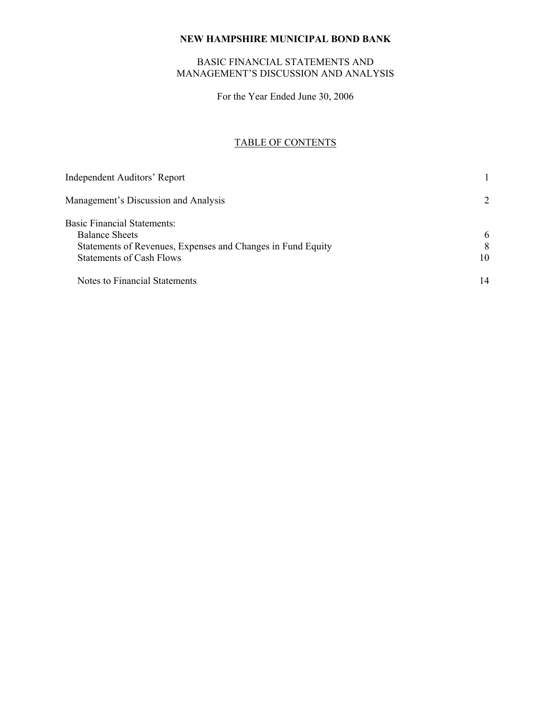## BASIC FINANCIAL STATEMENTS AND MANAGEMENT'S DISCUSSION AND ANALYSIS

For the Year Ended June 30, 2006

## TABLE OF CONTENTS

| <b>Independent Auditors' Report</b>                         |    |
|-------------------------------------------------------------|----|
| Management's Discussion and Analysis                        | 2  |
| <b>Basic Financial Statements:</b>                          |    |
| <b>Balance Sheets</b>                                       | 6  |
| Statements of Revenues, Expenses and Changes in Fund Equity | 8  |
| <b>Statements of Cash Flows</b>                             | 10 |
| Notes to Financial Statements                               | 14 |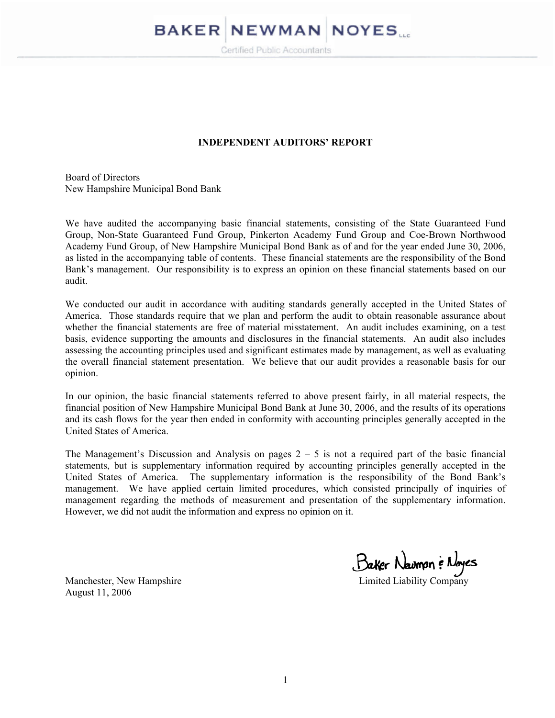# **BAKER NEWMAN NOYES**

Certified Public Accountants

#### **INDEPENDENT AUDITORS' REPORT**

Board of Directors New Hampshire Municipal Bond Bank

We have audited the accompanying basic financial statements, consisting of the State Guaranteed Fund Group, Non-State Guaranteed Fund Group, Pinkerton Academy Fund Group and Coe-Brown Northwood Academy Fund Group, of New Hampshire Municipal Bond Bank as of and for the year ended June 30, 2006, as listed in the accompanying table of contents. These financial statements are the responsibility of the Bond Bank's management. Our responsibility is to express an opinion on these financial statements based on our audit.

We conducted our audit in accordance with auditing standards generally accepted in the United States of America. Those standards require that we plan and perform the audit to obtain reasonable assurance about whether the financial statements are free of material misstatement. An audit includes examining, on a test basis, evidence supporting the amounts and disclosures in the financial statements. An audit also includes assessing the accounting principles used and significant estimates made by management, as well as evaluating the overall financial statement presentation. We believe that our audit provides a reasonable basis for our opinion.

In our opinion, the basic financial statements referred to above present fairly, in all material respects, the financial position of New Hampshire Municipal Bond Bank at June 30, 2006, and the results of its operations and its cash flows for the year then ended in conformity with accounting principles generally accepted in the United States of America.

The Management's Discussion and Analysis on pages  $2 - 5$  is not a required part of the basic financial statements, but is supplementary information required by accounting principles generally accepted in the United States of America. The supplementary information is the responsibility of the Bond Bank's management. We have applied certain limited procedures, which consisted principally of inquiries of management regarding the methods of measurement and presentation of the supplementary information. However, we did not audit the information and express no opinion on it.

Manchester, New Hampshire Manchester, New Hampshire Limited Liability Company

August 11, 2006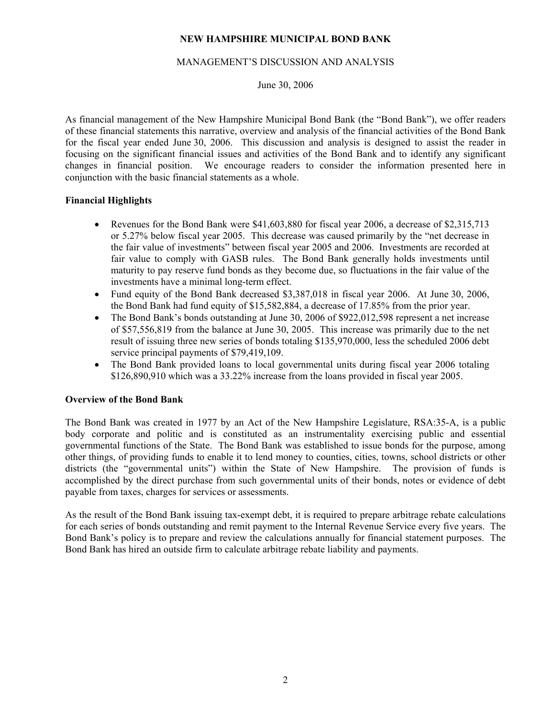#### MANAGEMENT'S DISCUSSION AND ANALYSIS

## June 30, 2006

As financial management of the New Hampshire Municipal Bond Bank (the "Bond Bank"), we offer readers of these financial statements this narrative, overview and analysis of the financial activities of the Bond Bank for the fiscal year ended June 30, 2006. This discussion and analysis is designed to assist the reader in focusing on the significant financial issues and activities of the Bond Bank and to identify any significant changes in financial position. We encourage readers to consider the information presented here in conjunction with the basic financial statements as a whole.

#### **Financial Highlights**

- Revenues for the Bond Bank were \$41,603,880 for fiscal year 2006, a decrease of \$2,315,713 or 5.27% below fiscal year 2005. This decrease was caused primarily by the "net decrease in the fair value of investments" between fiscal year 2005 and 2006. Investments are recorded at fair value to comply with GASB rules. The Bond Bank generally holds investments until maturity to pay reserve fund bonds as they become due, so fluctuations in the fair value of the investments have a minimal long-term effect.
- Fund equity of the Bond Bank decreased \$3,387,018 in fiscal year 2006. At June 30, 2006, the Bond Bank had fund equity of \$15,582,884, a decrease of 17.85% from the prior year.
- The Bond Bank's bonds outstanding at June 30, 2006 of \$922,012,598 represent a net increase of \$57,556,819 from the balance at June 30, 2005. This increase was primarily due to the net result of issuing three new series of bonds totaling \$135,970,000, less the scheduled 2006 debt service principal payments of \$79,419,109.
- The Bond Bank provided loans to local governmental units during fiscal year 2006 totaling \$126,890,910 which was a 33.22% increase from the loans provided in fiscal year 2005.

## **Overview of the Bond Bank**

The Bond Bank was created in 1977 by an Act of the New Hampshire Legislature, RSA:35-A, is a public body corporate and politic and is constituted as an instrumentality exercising public and essential governmental functions of the State. The Bond Bank was established to issue bonds for the purpose, among other things, of providing funds to enable it to lend money to counties, cities, towns, school districts or other districts (the "governmental units") within the State of New Hampshire. The provision of funds is accomplished by the direct purchase from such governmental units of their bonds, notes or evidence of debt payable from taxes, charges for services or assessments.

As the result of the Bond Bank issuing tax-exempt debt, it is required to prepare arbitrage rebate calculations for each series of bonds outstanding and remit payment to the Internal Revenue Service every five years. The Bond Bank's policy is to prepare and review the calculations annually for financial statement purposes. The Bond Bank has hired an outside firm to calculate arbitrage rebate liability and payments.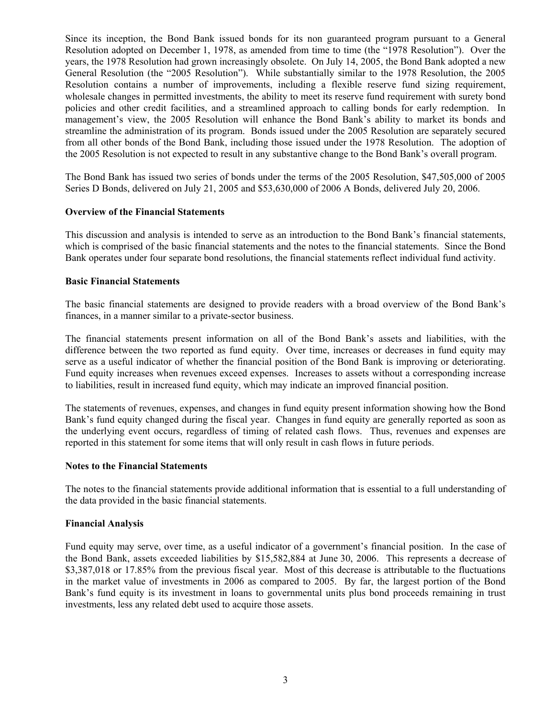Since its inception, the Bond Bank issued bonds for its non guaranteed program pursuant to a General Resolution adopted on December 1, 1978, as amended from time to time (the "1978 Resolution"). Over the years, the 1978 Resolution had grown increasingly obsolete. On July 14, 2005, the Bond Bank adopted a new General Resolution (the "2005 Resolution"). While substantially similar to the 1978 Resolution, the 2005 Resolution contains a number of improvements, including a flexible reserve fund sizing requirement, wholesale changes in permitted investments, the ability to meet its reserve fund requirement with surety bond policies and other credit facilities, and a streamlined approach to calling bonds for early redemption. In management's view, the 2005 Resolution will enhance the Bond Bank's ability to market its bonds and streamline the administration of its program. Bonds issued under the 2005 Resolution are separately secured from all other bonds of the Bond Bank, including those issued under the 1978 Resolution. The adoption of the 2005 Resolution is not expected to result in any substantive change to the Bond Bank's overall program.

The Bond Bank has issued two series of bonds under the terms of the 2005 Resolution, \$47,505,000 of 2005 Series D Bonds, delivered on July 21, 2005 and \$53,630,000 of 2006 A Bonds, delivered July 20, 2006.

#### **Overview of the Financial Statements**

This discussion and analysis is intended to serve as an introduction to the Bond Bank's financial statements, which is comprised of the basic financial statements and the notes to the financial statements. Since the Bond Bank operates under four separate bond resolutions, the financial statements reflect individual fund activity.

#### **Basic Financial Statements**

The basic financial statements are designed to provide readers with a broad overview of the Bond Bank's finances, in a manner similar to a private-sector business.

The financial statements present information on all of the Bond Bank's assets and liabilities, with the difference between the two reported as fund equity. Over time, increases or decreases in fund equity may serve as a useful indicator of whether the financial position of the Bond Bank is improving or deteriorating. Fund equity increases when revenues exceed expenses. Increases to assets without a corresponding increase to liabilities, result in increased fund equity, which may indicate an improved financial position.

The statements of revenues, expenses, and changes in fund equity present information showing how the Bond Bank's fund equity changed during the fiscal year. Changes in fund equity are generally reported as soon as the underlying event occurs, regardless of timing of related cash flows. Thus, revenues and expenses are reported in this statement for some items that will only result in cash flows in future periods.

#### **Notes to the Financial Statements**

The notes to the financial statements provide additional information that is essential to a full understanding of the data provided in the basic financial statements.

## **Financial Analysis**

Fund equity may serve, over time, as a useful indicator of a government's financial position. In the case of the Bond Bank, assets exceeded liabilities by \$15,582,884 at June 30, 2006. This represents a decrease of \$3,387,018 or 17.85% from the previous fiscal year. Most of this decrease is attributable to the fluctuations in the market value of investments in 2006 as compared to 2005. By far, the largest portion of the Bond Bank's fund equity is its investment in loans to governmental units plus bond proceeds remaining in trust investments, less any related debt used to acquire those assets.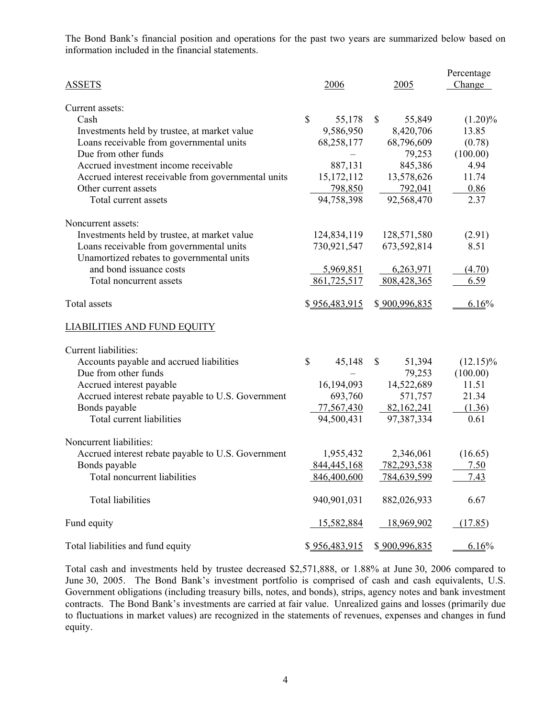The Bond Bank's financial position and operations for the past two years are summarized below based on information included in the financial statements.

| <b>ASSETS</b>                                       | 2006          | 2005                   | Percentage<br>Change |
|-----------------------------------------------------|---------------|------------------------|----------------------|
| Current assets:                                     |               |                        |                      |
| Cash                                                | \$<br>55,178  | $\mathbb{S}$<br>55,849 | $(1.20)\%$           |
| Investments held by trustee, at market value        | 9,586,950     | 8,420,706              | 13.85                |
| Loans receivable from governmental units            | 68,258,177    | 68,796,609             | (0.78)               |
| Due from other funds                                |               | 79,253                 | (100.00)             |
| Accrued investment income receivable                | 887,131       | 845,386                | 4.94                 |
| Accrued interest receivable from governmental units | 15, 172, 112  | 13,578,626             | 11.74                |
| Other current assets                                | 798,850       | 792,041                | 0.86                 |
| Total current assets                                | 94,758,398    | 92,568,470             | 2.37                 |
| Noncurrent assets:                                  |               |                        |                      |
| Investments held by trustee, at market value        | 124,834,119   | 128,571,580            | (2.91)               |
| Loans receivable from governmental units            | 730,921,547   | 673,592,814            | 8.51                 |
| Unamortized rebates to governmental units           |               |                        |                      |
| and bond issuance costs                             | 5,969,851     | 6,263,971              | (4.70)               |
| Total noncurrent assets                             | 861,725,517   | 808,428,365            | 6.59                 |
| Total assets                                        | \$956,483,915 | \$900,996,835          | 6.16%                |
| <b>LIABILITIES AND FUND EQUITY</b>                  |               |                        |                      |
| Current liabilities:                                |               |                        |                      |
| Accounts payable and accrued liabilities            | \$<br>45,148  | \$<br>51,394           | $(12.15)\%$          |
| Due from other funds                                |               | 79,253                 | (100.00)             |
| Accrued interest payable                            | 16,194,093    | 14,522,689             | 11.51                |
| Accrued interest rebate payable to U.S. Government  | 693,760       | 571,757                | 21.34                |
| Bonds payable                                       | 77,567,430    | 82,162,241             | (1.36)               |
| Total current liabilities                           | 94,500,431    | 97,387,334             | 0.61                 |
| Noncurrent liabilities:                             |               |                        |                      |
| Accrued interest rebate payable to U.S. Government  | 1,955,432     | 2,346,061              | (16.65)              |
| Bonds payable                                       | 844,445,168   | 782,293,538            | 7.50                 |
| Total noncurrent liabilities                        | 846,400,600   | 784,639,599            | 7.43                 |
| <b>Total liabilities</b>                            | 940,901,031   | 882,026,933            | 6.67                 |
| Fund equity                                         | 15,582,884    | 18,969,902             | (17.85)              |
| Total liabilities and fund equity                   | \$956,483,915 | \$900,996,835          | 6.16%                |

Total cash and investments held by trustee decreased \$2,571,888, or 1.88% at June 30, 2006 compared to June 30, 2005. The Bond Bank's investment portfolio is comprised of cash and cash equivalents, U.S. Government obligations (including treasury bills, notes, and bonds), strips, agency notes and bank investment contracts. The Bond Bank's investments are carried at fair value. Unrealized gains and losses (primarily due to fluctuations in market values) are recognized in the statements of revenues, expenses and changes in fund equity.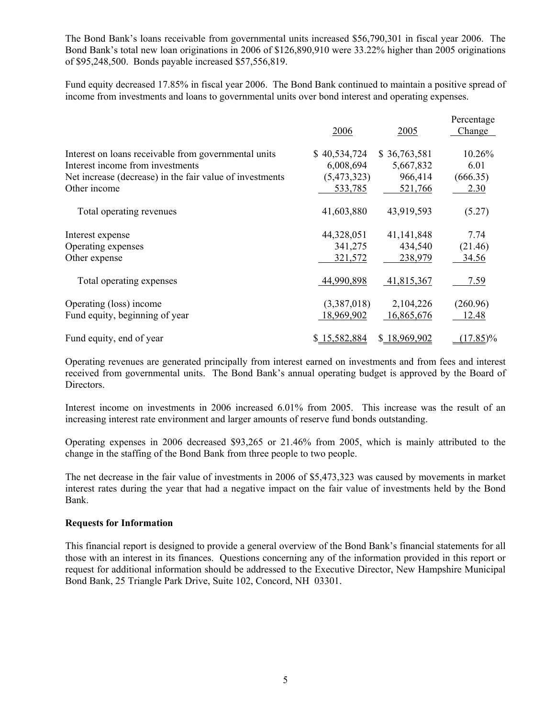The Bond Bank's loans receivable from governmental units increased \$56,790,301 in fiscal year 2006. The Bond Bank's total new loan originations in 2006 of \$126,890,910 were 33.22% higher than 2005 originations of \$95,248,500. Bonds payable increased \$57,556,819.

Fund equity decreased 17.85% in fiscal year 2006. The Bond Bank continued to maintain a positive spread of income from investments and loans to governmental units over bond interest and operating expenses.

|                                                          | 2006         | 2005         | Percentage<br>Change |
|----------------------------------------------------------|--------------|--------------|----------------------|
| Interest on loans receivable from governmental units     | \$40,534,724 | \$36,763,581 | 10.26%               |
| Interest income from investments                         | 6,008,694    | 5,667,832    | 6.01                 |
| Net increase (decrease) in the fair value of investments | (5,473,323)  | 966,414      | (666.35)             |
| Other income                                             | 533,785      | 521,766      | 2.30                 |
| Total operating revenues                                 | 41,603,880   | 43,919,593   | (5.27)               |
| Interest expense                                         | 44,328,051   | 41, 141, 848 | 7.74                 |
| Operating expenses                                       | 341,275      | 434,540      | (21.46)              |
| Other expense                                            | 321,572      | 238,979      | 34.56                |
| Total operating expenses                                 | 44,990,898   | 41,815,367   | 7.59                 |
| Operating (loss) income                                  | (3,387,018)  | 2,104,226    | (260.96)             |
| Fund equity, beginning of year                           | 18,969,902   | 16,865,676   | 12.48                |
| Fund equity, end of year                                 | \$15,582,884 | \$18,969,902 | $(17.85)\%$          |

Operating revenues are generated principally from interest earned on investments and from fees and interest received from governmental units. The Bond Bank's annual operating budget is approved by the Board of Directors.

Interest income on investments in 2006 increased 6.01% from 2005. This increase was the result of an increasing interest rate environment and larger amounts of reserve fund bonds outstanding.

Operating expenses in 2006 decreased \$93,265 or 21.46% from 2005, which is mainly attributed to the change in the staffing of the Bond Bank from three people to two people.

The net decrease in the fair value of investments in 2006 of \$5,473,323 was caused by movements in market interest rates during the year that had a negative impact on the fair value of investments held by the Bond Bank.

## **Requests for Information**

This financial report is designed to provide a general overview of the Bond Bank's financial statements for all those with an interest in its finances. Questions concerning any of the information provided in this report or request for additional information should be addressed to the Executive Director, New Hampshire Municipal Bond Bank, 25 Triangle Park Drive, Suite 102, Concord, NH 03301.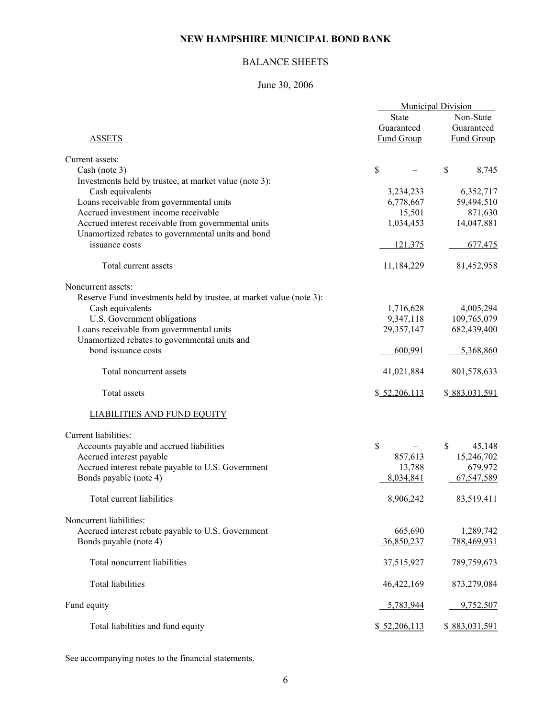# BALANCE SHEETS

# June 30, 2006

|                                                                     | <b>Municipal Division</b> |                   |
|---------------------------------------------------------------------|---------------------------|-------------------|
|                                                                     | <b>State</b>              | Non-State         |
|                                                                     | Guaranteed                | Guaranteed        |
| <b>ASSETS</b>                                                       | <b>Fund Group</b>         | <b>Fund Group</b> |
|                                                                     |                           |                   |
| Current assets:                                                     |                           |                   |
| Cash (note 3)                                                       | $\boldsymbol{\mathsf{S}}$ | \$<br>8,745       |
| Investments held by trustee, at market value (note 3):              |                           |                   |
| Cash equivalents                                                    | 3,234,233                 | 6,352,717         |
| Loans receivable from governmental units                            | 6,778,667                 | 59,494,510        |
| Accrued investment income receivable                                | 15,501                    | 871,630           |
| Accrued interest receivable from governmental units                 | 1,034,453                 | 14,047,881        |
| Unamortized rebates to governmental units and bond                  |                           |                   |
| issuance costs                                                      | 121,375                   | 677,475           |
|                                                                     |                           |                   |
| Total current assets                                                | 11,184,229                | 81,452,958        |
| Noncurrent assets:                                                  |                           |                   |
| Reserve Fund investments held by trustee, at market value (note 3): |                           |                   |
| Cash equivalents                                                    | 1,716,628                 | 4,005,294         |
| U.S. Government obligations                                         | 9,347,118                 | 109,765,079       |
| Loans receivable from governmental units                            | 29,357,147                | 682,439,400       |
| Unamortized rebates to governmental units and                       |                           |                   |
| bond issuance costs                                                 | 600,991                   | 5,368,860         |
|                                                                     |                           |                   |
| Total noncurrent assets                                             | 41,021,884                | 801,578,633       |
| Total assets                                                        | \$ 52,206,113             | \$883,031,591     |
| <b>LIABILITIES AND FUND EQUITY</b>                                  |                           |                   |
| Current liabilities:                                                |                           |                   |
| Accounts payable and accrued liabilities                            | \$                        | \$<br>45,148      |
| Accrued interest payable                                            | 857,613                   | 15,246,702        |
| Accrued interest rebate payable to U.S. Government                  | 13,788                    | 679,972           |
| Bonds payable (note 4)                                              | 8,034,841                 | 67,547,589        |
|                                                                     |                           |                   |
| Total current liabilities                                           | 8,906,242                 | 83,519,411        |
| Noncurrent liabilities:                                             |                           |                   |
| Accrued interest rebate payable to U.S. Government                  | 665,690                   | 1,289,742         |
| Bonds payable (note 4)                                              | 36,850,237                | 788,469,931       |
|                                                                     |                           |                   |
| Total noncurrent liabilities                                        | 37,515,927                | 789,759,673       |
|                                                                     |                           |                   |
| <b>Total liabilities</b>                                            | 46,422,169                | 873,279,084       |
| Fund equity                                                         | 5,783,944                 | 9,752,507         |
|                                                                     |                           |                   |
| Total liabilities and fund equity                                   | \$ 52,206,113             | \$883,031,591     |

See accompanying notes to the financial statements.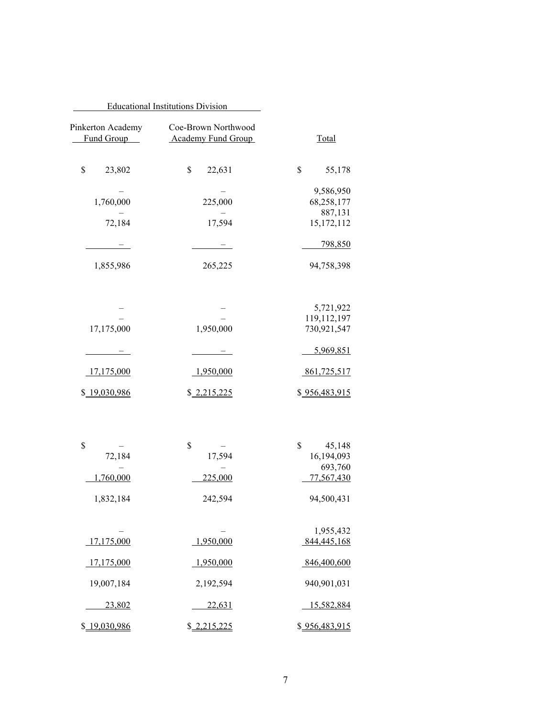|                                 | <b>Educational Institutions Division</b>         |                            |
|---------------------------------|--------------------------------------------------|----------------------------|
| Pinkerton Academy<br>Fund Group | Coe-Brown Northwood<br><b>Academy Fund Group</b> | <b>Total</b>               |
| \$<br>23,802                    | \$<br>22,631                                     | \$<br>55,178               |
| 1,760,000                       | 225,000                                          | 9,586,950<br>68,258,177    |
| 72,184                          | 17,594                                           | 887,131<br>15,172,112      |
|                                 |                                                  | 798,850                    |
| 1,855,986                       | 265,225                                          | 94,758,398                 |
|                                 |                                                  |                            |
|                                 |                                                  | 5,721,922                  |
| 17,175,000                      | 1,950,000                                        | 119,112,197<br>730,921,547 |
|                                 |                                                  | 5,969,851                  |
| <u>17,175,000</u>               | 1,950,000                                        | 861,725,517                |
| \$19,030,986                    | \$2,215,225                                      | \$956,483,915              |
|                                 |                                                  |                            |
| \$                              | \$                                               | \$<br>45,148               |
| 72,184                          | 17,594                                           | 16,194,093                 |
| 1,760,000                       | 225,000                                          | 693,760<br>77,567,430      |
| 1,832,184                       | 242,594                                          | 94,500,431                 |
|                                 |                                                  | 1,955,432                  |
| 17,175,000                      | 1,950,000                                        | 844,445,168                |
| 17,175,000                      | 1,950,000                                        | 846,400,600                |
| 19,007,184                      | 2,192,594                                        | 940,901,031                |
| 23,802                          | 22,631                                           | 15,582,884                 |
| \$19,030,986                    | \$2,215,225                                      | \$956,483,915              |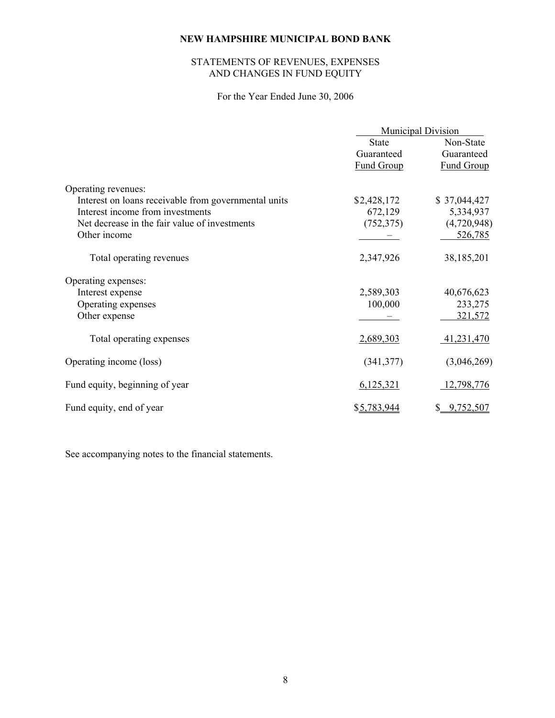# STATEMENTS OF REVENUES, EXPENSES AND CHANGES IN FUND EQUITY

# For the Year Ended June 30, 2006

|                                                      | <b>Municipal Division</b> |                   |  |
|------------------------------------------------------|---------------------------|-------------------|--|
|                                                      | <b>State</b>              | Non-State         |  |
|                                                      | Guaranteed                | Guaranteed        |  |
|                                                      | <b>Fund Group</b>         | <b>Fund Group</b> |  |
| Operating revenues:                                  |                           |                   |  |
| Interest on loans receivable from governmental units | \$2,428,172               | \$37,044,427      |  |
| Interest income from investments                     | 672,129                   | 5,334,937         |  |
| Net decrease in the fair value of investments        | (752, 375)                | (4,720,948)       |  |
| Other income                                         |                           | 526,785           |  |
| Total operating revenues                             | 2,347,926                 | 38,185,201        |  |
| Operating expenses:                                  |                           |                   |  |
| Interest expense                                     | 2,589,303                 | 40,676,623        |  |
| Operating expenses                                   | 100,000                   | 233,275           |  |
| Other expense                                        |                           | 321,572           |  |
| Total operating expenses                             | 2,689,303                 | 41,231,470        |  |
| Operating income (loss)                              | (341, 377)                | (3,046,269)       |  |
| Fund equity, beginning of year                       | 6,125,321                 | 12,798,776        |  |
| Fund equity, end of year                             | \$5,783,944               | \$0,752,507       |  |

See accompanying notes to the financial statements.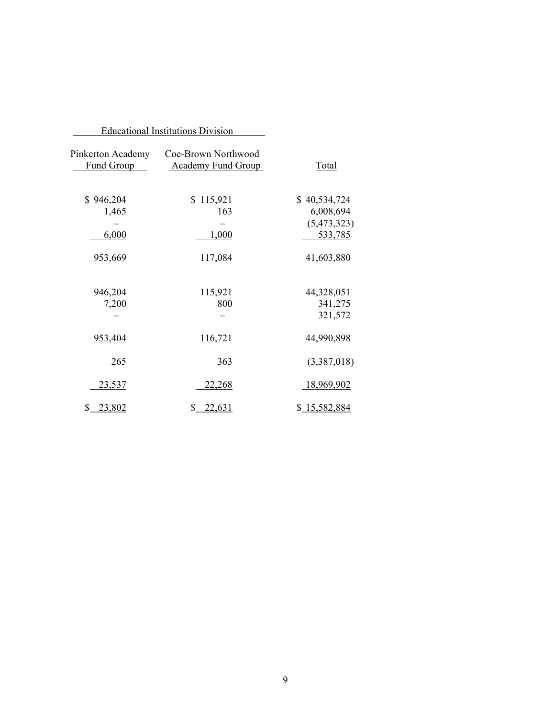|                                 | <b>Educational Institutions Division</b>         |              |
|---------------------------------|--------------------------------------------------|--------------|
| Pinkerton Academy<br>Fund Group | Coe-Brown Northwood<br><b>Academy Fund Group</b> | <b>Total</b> |
| \$946,204                       | \$115,921                                        | \$40,534,724 |
| 1,465                           | 163                                              | 6,008,694    |
|                                 |                                                  | (5,473,323)  |
| 6,000                           | 1,000                                            | 533,785      |
| 953,669                         | 117,084                                          | 41,603,880   |
| 946,204                         | 115,921                                          | 44,328,051   |
| 7,200                           | 800                                              | 341,275      |
|                                 |                                                  | 321,572      |
| 953,404                         | 116,721                                          | 44,990,898   |
| 265                             | 363                                              | (3,387,018)  |
| <u>23,537</u>                   | <u>22,268</u>                                    | 18,969,902   |
| \$ 23,802                       | \$22,631                                         | \$15,582,884 |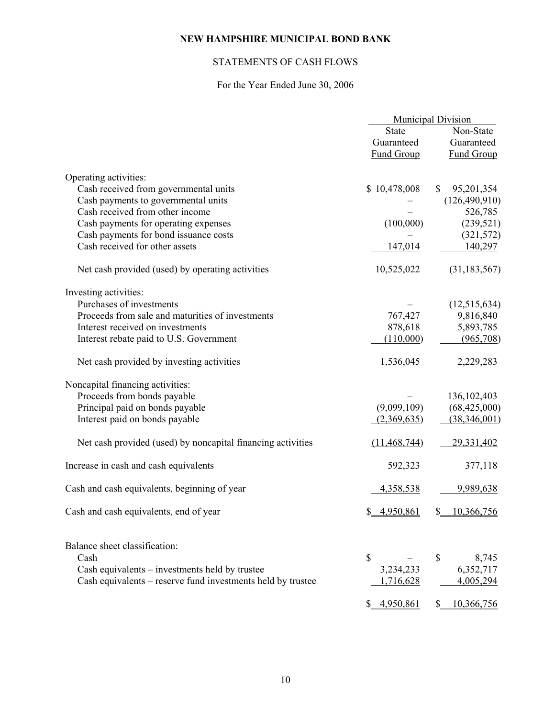# STATEMENTS OF CASH FLOWS

# For the Year Ended June 30, 2006

|                                                             | <b>Municipal Division</b> |                            |
|-------------------------------------------------------------|---------------------------|----------------------------|
|                                                             | <b>State</b>              | Non-State                  |
|                                                             | Guaranteed                | Guaranteed                 |
|                                                             | <b>Fund Group</b>         | <b>Fund Group</b>          |
| Operating activities:                                       |                           |                            |
| Cash received from governmental units                       | \$10,478,008              | $\mathbb{S}$<br>95,201,354 |
| Cash payments to governmental units                         |                           | (126, 490, 910)            |
| Cash received from other income                             |                           | 526,785                    |
| Cash payments for operating expenses                        | (100,000)                 | (239, 521)                 |
| Cash payments for bond issuance costs                       |                           | (321, 572)                 |
| Cash received for other assets                              | 147,014                   | 140,297                    |
|                                                             |                           |                            |
| Net cash provided (used) by operating activities            | 10,525,022                | (31, 183, 567)             |
| Investing activities:                                       |                           |                            |
| Purchases of investments                                    |                           | (12,515,634)               |
| Proceeds from sale and maturities of investments            | 767,427                   | 9,816,840                  |
| Interest received on investments                            | 878,618                   | 5,893,785                  |
| Interest rebate paid to U.S. Government                     | (110,000)                 | (965,708)                  |
|                                                             |                           |                            |
| Net cash provided by investing activities                   | 1,536,045                 | 2,229,283                  |
| Noncapital financing activities:                            |                           |                            |
| Proceeds from bonds payable                                 |                           | 136, 102, 403              |
| Principal paid on bonds payable                             | (9,099,109)               | (68, 425, 000)             |
| Interest paid on bonds payable                              | (2,369,635)               | (38, 346, 001)             |
|                                                             |                           |                            |
| Net cash provided (used) by noncapital financing activities | (11, 468, 744)            | 29,331,402                 |
| Increase in cash and cash equivalents                       | 592,323                   | 377,118                    |
| Cash and cash equivalents, beginning of year                | 4,358,538                 | 9,989,638                  |
| Cash and cash equivalents, end of year                      | \$ 4,950,861              | 10,366,756<br>\$.          |
|                                                             |                           |                            |
| Balance sheet classification:                               |                           |                            |
| Cash                                                        | \$                        | \$<br>8,745                |
| Cash equivalents - investments held by trustee              | 3,234,233                 | 6,352,717                  |
| Cash equivalents – reserve fund investments held by trustee | 1,716,628                 | 4,005,294                  |
|                                                             |                           |                            |
|                                                             | 4,950,861<br>S.           | 10,366,756<br>S.           |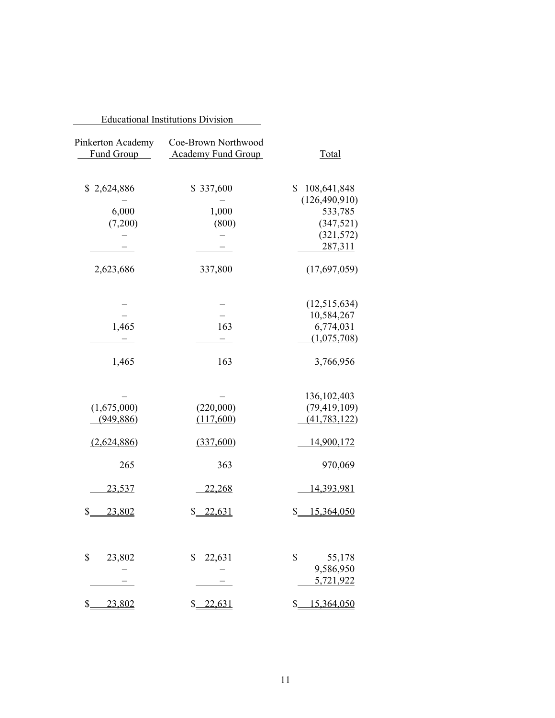|                                 | <b>Educational Institutions Division</b>         |                                                               |
|---------------------------------|--------------------------------------------------|---------------------------------------------------------------|
| Pinkerton Academy<br>Fund Group | Coe-Brown Northwood<br><b>Academy Fund Group</b> | <b>Total</b>                                                  |
| \$2,624,886<br>6,000<br>(7,200) | \$337,600<br>1,000<br>(800)                      | \$<br>108,641,848<br>(126, 490, 910)<br>533,785<br>(347, 521) |
|                                 |                                                  | (321, 572)<br>287,311                                         |
| 2,623,686                       | 337,800                                          | (17,697,059)                                                  |
| 1,465                           | 163                                              | (12,515,634)<br>10,584,267<br>6,774,031<br>(1,075,708)        |
| 1,465                           | 163                                              | 3,766,956                                                     |
| (1,675,000)<br>(949, 886)       | (220,000)<br>(117,600)                           | 136, 102, 403<br>(79, 419, 109)<br>(41, 783, 122)             |
| (2,624,886)<br>265              | (337,600)<br>363                                 | <u>14,900,172</u><br>970,069                                  |
| <u>23,537</u>                   | <u>22,268</u>                                    | <u>14,393,981</u>                                             |
| \$<br>23,802                    | \$22,631                                         | \$15,364,050                                                  |
| \$<br>23,802                    | \$<br>22,631                                     | \$<br>55,178<br>9,586,950<br>5,721,922                        |
| $\mathbb{S}_{-}$<br>23,802      | \$22,631                                         | \$15,364,050                                                  |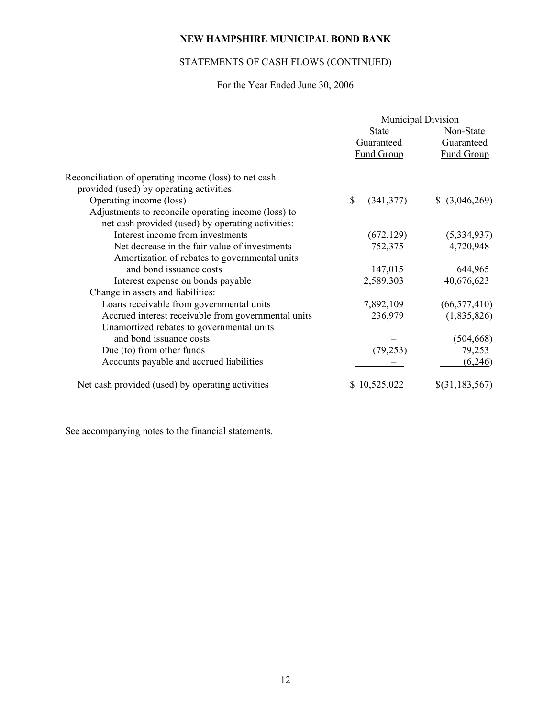# STATEMENTS OF CASH FLOWS (CONTINUED)

# For the Year Ended June 30, 2006

|                                                       | <b>Municipal Division</b> |                   |                    |
|-------------------------------------------------------|---------------------------|-------------------|--------------------|
|                                                       |                           | <b>State</b>      | Non-State          |
|                                                       |                           | Guaranteed        | Guaranteed         |
|                                                       |                           | <b>Fund Group</b> | <b>Fund Group</b>  |
| Reconciliation of operating income (loss) to net cash |                           |                   |                    |
| provided (used) by operating activities:              |                           |                   |                    |
| Operating income (loss)                               | \$                        | (341, 377)        | \$ (3,046,269)     |
| Adjustments to reconcile operating income (loss) to   |                           |                   |                    |
| net cash provided (used) by operating activities:     |                           |                   |                    |
| Interest income from investments                      |                           | (672, 129)        | (5,334,937)        |
| Net decrease in the fair value of investments         |                           | 752,375           | 4,720,948          |
| Amortization of rebates to governmental units         |                           |                   |                    |
| and bond issuance costs                               |                           | 147,015           | 644,965            |
| Interest expense on bonds payable                     |                           | 2,589,303         | 40,676,623         |
| Change in assets and liabilities:                     |                           |                   |                    |
| Loans receivable from governmental units              |                           | 7,892,109         | (66, 577, 410)     |
| Accrued interest receivable from governmental units   |                           | 236,979           | (1,835,826)        |
| Unamortized rebates to governmental units             |                           |                   |                    |
| and bond issuance costs                               |                           |                   | (504, 668)         |
| Due (to) from other funds                             |                           | (79, 253)         | 79,253             |
| Accounts payable and accrued liabilities              |                           |                   | (6,246)            |
| Net cash provided (used) by operating activities      |                           | \$10,525,022      | $\S(31, 183, 567)$ |

See accompanying notes to the financial statements.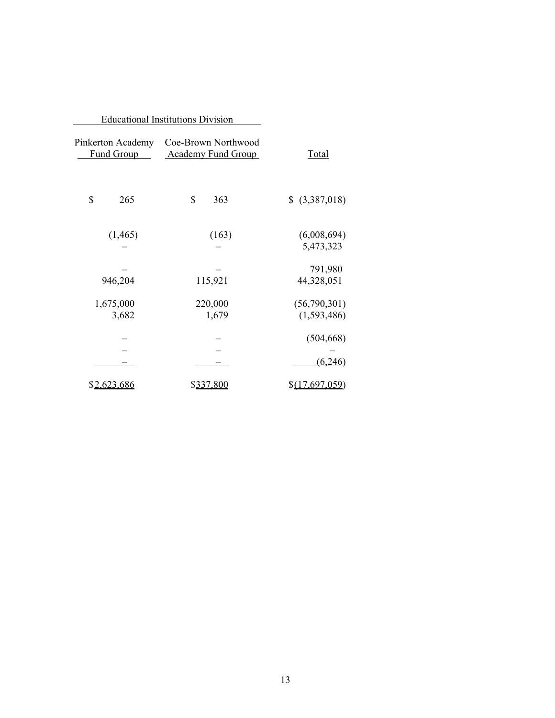|                                        | <b>Educational Institutions Division</b>         |                             |
|----------------------------------------|--------------------------------------------------|-----------------------------|
| Pinkerton Academy<br><b>Fund Group</b> | Coe-Brown Northwood<br><b>Academy Fund Group</b> | Total                       |
| \$<br>265                              | \$<br>363                                        | \$ (3,387,018)              |
| (1,465)                                | (163)                                            | (6,008,694)<br>5,473,323    |
| 946,204                                | 115,921                                          | 791,980<br>44,328,051       |
| 1,675,000<br>3,682                     | 220,000<br>1,679                                 | (56,790,301)<br>(1,593,486) |
|                                        |                                                  | (504, 668)                  |
| <u>\$2,623,686</u>                     | \$337.800                                        | (6,246)<br>\$(17,697,059)   |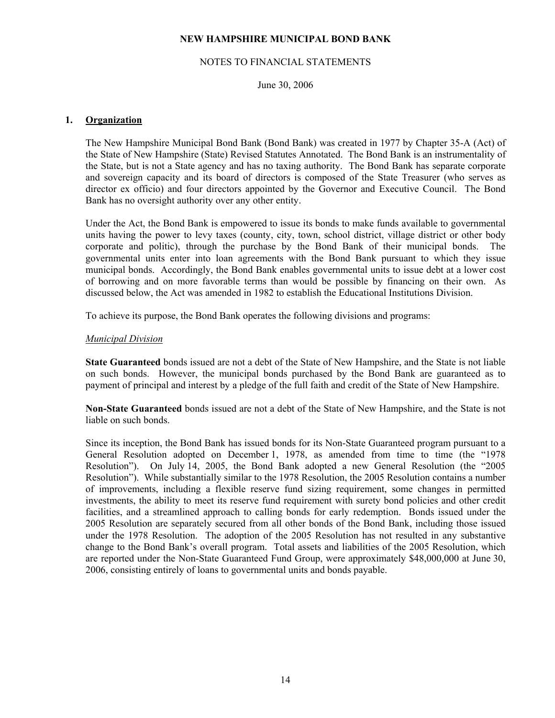#### NOTES TO FINANCIAL STATEMENTS

June 30, 2006

## **1. Organization**

 The New Hampshire Municipal Bond Bank (Bond Bank) was created in 1977 by Chapter 35-A (Act) of the State of New Hampshire (State) Revised Statutes Annotated. The Bond Bank is an instrumentality of the State, but is not a State agency and has no taxing authority. The Bond Bank has separate corporate and sovereign capacity and its board of directors is composed of the State Treasurer (who serves as director ex officio) and four directors appointed by the Governor and Executive Council. The Bond Bank has no oversight authority over any other entity.

 Under the Act, the Bond Bank is empowered to issue its bonds to make funds available to governmental units having the power to levy taxes (county, city, town, school district, village district or other body corporate and politic), through the purchase by the Bond Bank of their municipal bonds. The governmental units enter into loan agreements with the Bond Bank pursuant to which they issue municipal bonds. Accordingly, the Bond Bank enables governmental units to issue debt at a lower cost of borrowing and on more favorable terms than would be possible by financing on their own. As discussed below, the Act was amended in 1982 to establish the Educational Institutions Division.

To achieve its purpose, the Bond Bank operates the following divisions and programs:

#### *Municipal Division*

 **State Guaranteed** bonds issued are not a debt of the State of New Hampshire, and the State is not liable on such bonds. However, the municipal bonds purchased by the Bond Bank are guaranteed as to payment of principal and interest by a pledge of the full faith and credit of the State of New Hampshire.

 **Non-State Guaranteed** bonds issued are not a debt of the State of New Hampshire, and the State is not liable on such bonds.

 Since its inception, the Bond Bank has issued bonds for its Non-State Guaranteed program pursuant to a General Resolution adopted on December 1, 1978, as amended from time to time (the "1978 Resolution"). On July 14, 2005, the Bond Bank adopted a new General Resolution (the "2005 Resolution"). While substantially similar to the 1978 Resolution, the 2005 Resolution contains a number of improvements, including a flexible reserve fund sizing requirement, some changes in permitted investments, the ability to meet its reserve fund requirement with surety bond policies and other credit facilities, and a streamlined approach to calling bonds for early redemption. Bonds issued under the 2005 Resolution are separately secured from all other bonds of the Bond Bank, including those issued under the 1978 Resolution. The adoption of the 2005 Resolution has not resulted in any substantive change to the Bond Bank's overall program. Total assets and liabilities of the 2005 Resolution, which are reported under the Non-State Guaranteed Fund Group, were approximately \$48,000,000 at June 30, 2006, consisting entirely of loans to governmental units and bonds payable.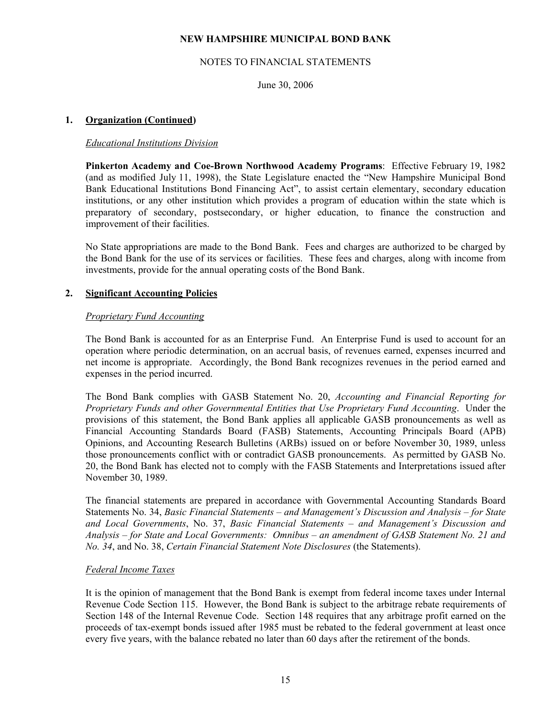## NOTES TO FINANCIAL STATEMENTS

June 30, 2006

## **1. Organization (Continued)**

#### *Educational Institutions Division*

 **Pinkerton Academy and Coe-Brown Northwood Academy Programs**: Effective February 19, 1982 (and as modified July 11, 1998), the State Legislature enacted the "New Hampshire Municipal Bond Bank Educational Institutions Bond Financing Act", to assist certain elementary, secondary education institutions, or any other institution which provides a program of education within the state which is preparatory of secondary, postsecondary, or higher education, to finance the construction and improvement of their facilities.

 No State appropriations are made to the Bond Bank. Fees and charges are authorized to be charged by the Bond Bank for the use of its services or facilities. These fees and charges, along with income from investments, provide for the annual operating costs of the Bond Bank.

#### **2. Significant Accounting Policies**

#### *Proprietary Fund Accounting*

 The Bond Bank is accounted for as an Enterprise Fund. An Enterprise Fund is used to account for an operation where periodic determination, on an accrual basis, of revenues earned, expenses incurred and net income is appropriate. Accordingly, the Bond Bank recognizes revenues in the period earned and expenses in the period incurred.

 The Bond Bank complies with GASB Statement No. 20, *Accounting and Financial Reporting for Proprietary Funds and other Governmental Entities that Use Proprietary Fund Accounting*. Under the provisions of this statement, the Bond Bank applies all applicable GASB pronouncements as well as Financial Accounting Standards Board (FASB) Statements, Accounting Principals Board (APB) Opinions, and Accounting Research Bulletins (ARBs) issued on or before November 30, 1989, unless those pronouncements conflict with or contradict GASB pronouncements. As permitted by GASB No. 20, the Bond Bank has elected not to comply with the FASB Statements and Interpretations issued after November 30, 1989.

 The financial statements are prepared in accordance with Governmental Accounting Standards Board Statements No. 34, *Basic Financial Statements – and Management's Discussion and Analysis – for State and Local Governments*, No. 37, *Basic Financial Statements – and Management's Discussion and Analysis – for State and Local Governments: Omnibus – an amendment of GASB Statement No. 21 and No. 34*, and No. 38, *Certain Financial Statement Note Disclosures* (the Statements).

#### *Federal Income Taxes*

 It is the opinion of management that the Bond Bank is exempt from federal income taxes under Internal Revenue Code Section 115. However, the Bond Bank is subject to the arbitrage rebate requirements of Section 148 of the Internal Revenue Code. Section 148 requires that any arbitrage profit earned on the proceeds of tax-exempt bonds issued after 1985 must be rebated to the federal government at least once every five years, with the balance rebated no later than 60 days after the retirement of the bonds.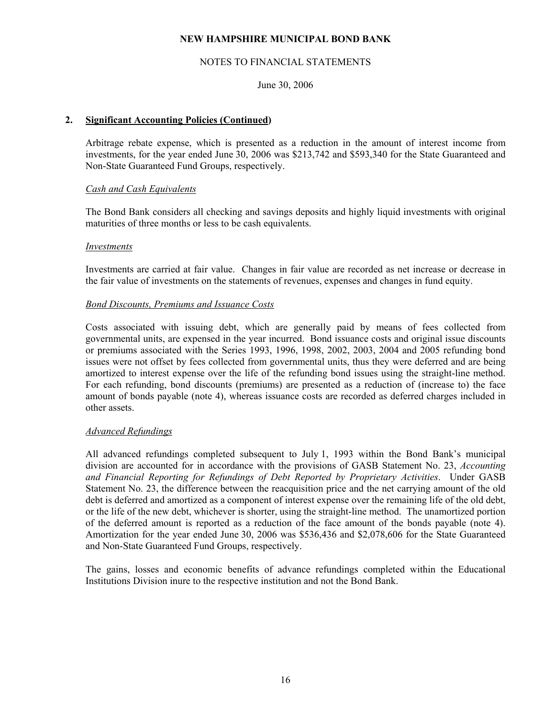#### NOTES TO FINANCIAL STATEMENTS

## June 30, 2006

## **2. Significant Accounting Policies (Continued)**

 Arbitrage rebate expense, which is presented as a reduction in the amount of interest income from investments, for the year ended June 30, 2006 was \$213,742 and \$593,340 for the State Guaranteed and Non-State Guaranteed Fund Groups, respectively.

#### *Cash and Cash Equivalents*

 The Bond Bank considers all checking and savings deposits and highly liquid investments with original maturities of three months or less to be cash equivalents.

#### *Investments*

 Investments are carried at fair value. Changes in fair value are recorded as net increase or decrease in the fair value of investments on the statements of revenues, expenses and changes in fund equity.

#### *Bond Discounts, Premiums and Issuance Costs*

 Costs associated with issuing debt, which are generally paid by means of fees collected from governmental units, are expensed in the year incurred. Bond issuance costs and original issue discounts or premiums associated with the Series 1993, 1996, 1998, 2002, 2003, 2004 and 2005 refunding bond issues were not offset by fees collected from governmental units, thus they were deferred and are being amortized to interest expense over the life of the refunding bond issues using the straight-line method. For each refunding, bond discounts (premiums) are presented as a reduction of (increase to) the face amount of bonds payable (note 4), whereas issuance costs are recorded as deferred charges included in other assets.

#### *Advanced Refundings*

 All advanced refundings completed subsequent to July 1, 1993 within the Bond Bank's municipal division are accounted for in accordance with the provisions of GASB Statement No. 23, *Accounting and Financial Reporting for Refundings of Debt Reported by Proprietary Activities*. Under GASB Statement No. 23, the difference between the reacquisition price and the net carrying amount of the old debt is deferred and amortized as a component of interest expense over the remaining life of the old debt, or the life of the new debt, whichever is shorter, using the straight-line method. The unamortized portion of the deferred amount is reported as a reduction of the face amount of the bonds payable (note 4). Amortization for the year ended June 30, 2006 was \$536,436 and \$2,078,606 for the State Guaranteed and Non-State Guaranteed Fund Groups, respectively.

 The gains, losses and economic benefits of advance refundings completed within the Educational Institutions Division inure to the respective institution and not the Bond Bank.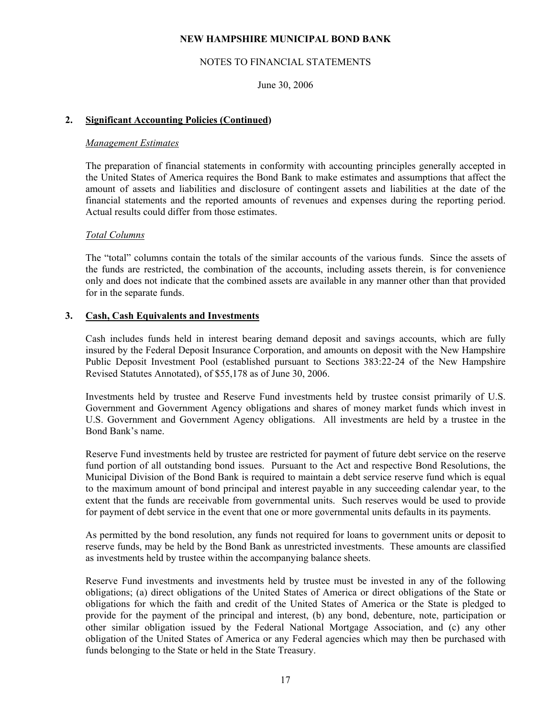## NOTES TO FINANCIAL STATEMENTS

June 30, 2006

## **2. Significant Accounting Policies (Continued)**

#### *Management Estimates*

 The preparation of financial statements in conformity with accounting principles generally accepted in the United States of America requires the Bond Bank to make estimates and assumptions that affect the amount of assets and liabilities and disclosure of contingent assets and liabilities at the date of the financial statements and the reported amounts of revenues and expenses during the reporting period. Actual results could differ from those estimates.

#### *Total Columns*

 The "total" columns contain the totals of the similar accounts of the various funds. Since the assets of the funds are restricted, the combination of the accounts, including assets therein, is for convenience only and does not indicate that the combined assets are available in any manner other than that provided for in the separate funds.

#### **3. Cash, Cash Equivalents and Investments**

 Cash includes funds held in interest bearing demand deposit and savings accounts, which are fully insured by the Federal Deposit Insurance Corporation, and amounts on deposit with the New Hampshire Public Deposit Investment Pool (established pursuant to Sections 383:22-24 of the New Hampshire Revised Statutes Annotated), of \$55,178 as of June 30, 2006.

 Investments held by trustee and Reserve Fund investments held by trustee consist primarily of U.S. Government and Government Agency obligations and shares of money market funds which invest in U.S. Government and Government Agency obligations. All investments are held by a trustee in the Bond Bank's name.

 Reserve Fund investments held by trustee are restricted for payment of future debt service on the reserve fund portion of all outstanding bond issues. Pursuant to the Act and respective Bond Resolutions, the Municipal Division of the Bond Bank is required to maintain a debt service reserve fund which is equal to the maximum amount of bond principal and interest payable in any succeeding calendar year, to the extent that the funds are receivable from governmental units. Such reserves would be used to provide for payment of debt service in the event that one or more governmental units defaults in its payments.

 As permitted by the bond resolution, any funds not required for loans to government units or deposit to reserve funds, may be held by the Bond Bank as unrestricted investments. These amounts are classified as investments held by trustee within the accompanying balance sheets.

 Reserve Fund investments and investments held by trustee must be invested in any of the following obligations; (a) direct obligations of the United States of America or direct obligations of the State or obligations for which the faith and credit of the United States of America or the State is pledged to provide for the payment of the principal and interest, (b) any bond, debenture, note, participation or other similar obligation issued by the Federal National Mortgage Association, and (c) any other obligation of the United States of America or any Federal agencies which may then be purchased with funds belonging to the State or held in the State Treasury.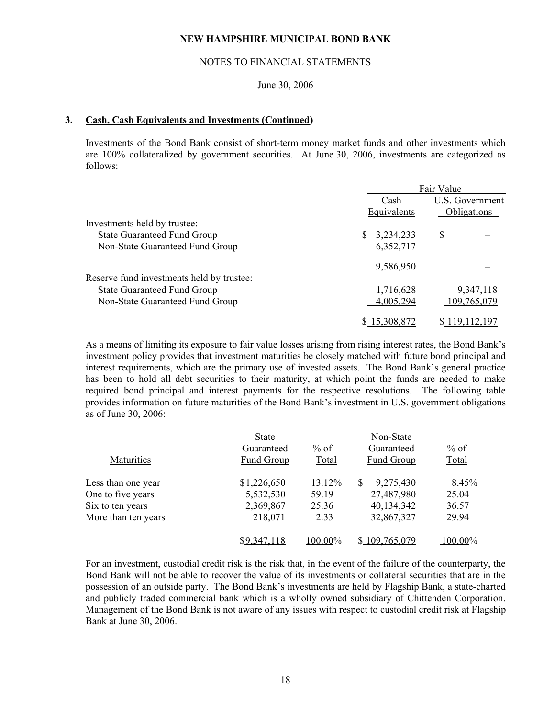#### NOTES TO FINANCIAL STATEMENTS

#### June 30, 2006

#### **3. Cash, Cash Equivalents and Investments (Continued)**

 Investments of the Bond Bank consist of short-term money market funds and other investments which are 100% collateralized by government securities. At June 30, 2006, investments are categorized as follows:

|                                           | Fair Value  |                    |
|-------------------------------------------|-------------|--------------------|
|                                           | Cash        | U.S. Government    |
|                                           | Equivalents | <b>Obligations</b> |
| Investments held by trustee:              |             |                    |
| <b>State Guaranteed Fund Group</b>        | 3,234,233   | S                  |
| Non-State Guaranteed Fund Group           | 6,352,717   |                    |
|                                           | 9,586,950   |                    |
| Reserve fund investments held by trustee: |             |                    |
| <b>State Guaranteed Fund Group</b>        | 1,716,628   | 9,347,118          |
| Non-State Guaranteed Fund Group           | 4,005,294   | 109,765,079        |
|                                           | 5,308,872   | 19.112.197         |

As a means of limiting its exposure to fair value losses arising from rising interest rates, the Bond Bank's investment policy provides that investment maturities be closely matched with future bond principal and interest requirements, which are the primary use of invested assets. The Bond Bank's general practice has been to hold all debt securities to their maturity, at which point the funds are needed to make required bond principal and interest payments for the respective resolutions. The following table provides information on future maturities of the Bond Bank's investment in U.S. government obligations as of June 30, 2006:

| <b>Maturities</b>   | <b>State</b><br>Guaranteed<br>Fund Group | % of<br>Total | Non-State<br>Guaranteed<br>Fund Group | $%$ of<br><b>Total</b> |
|---------------------|------------------------------------------|---------------|---------------------------------------|------------------------|
| Less than one year  | \$1,226,650                              | 13.12%        | 9,275,430                             | 8.45%                  |
| One to five years   | 5,532,530                                | 59.19         | 27,487,980                            | 25.04                  |
| Six to ten years    | 2,369,867                                | 25.36         | 40,134,342                            | 36.57                  |
| More than ten years | 218,071                                  | 2.33          | 32,867,327                            | 29.94                  |
|                     | \$9.347.118                              | 100.00%       | \$109,765,079                         | 100.00%                |

For an investment, custodial credit risk is the risk that, in the event of the failure of the counterparty, the Bond Bank will not be able to recover the value of its investments or collateral securities that are in the possession of an outside party. The Bond Bank's investments are held by Flagship Bank, a state-charted and publicly traded commercial bank which is a wholly owned subsidiary of Chittenden Corporation. Management of the Bond Bank is not aware of any issues with respect to custodial credit risk at Flagship Bank at June 30, 2006.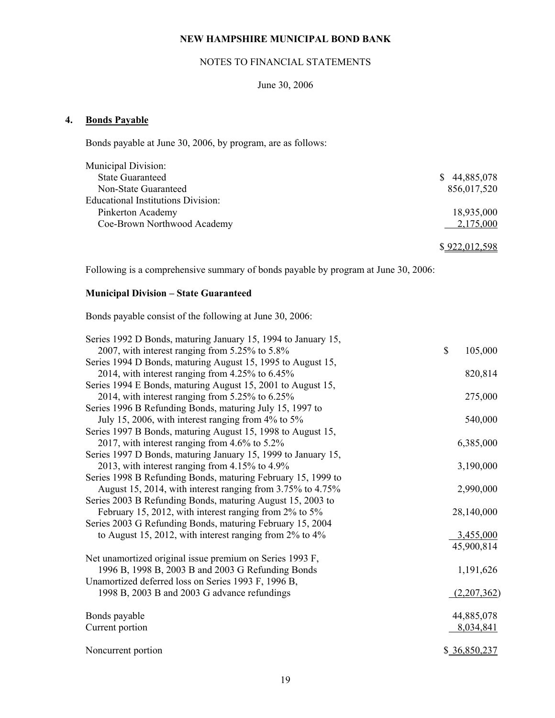## NOTES TO FINANCIAL STATEMENTS

## June 30, 2006

## **4. Bonds Payable**

Bonds payable at June 30, 2006, by program, are as follows:

| <b>State Guaranteed</b>                   | 44,885,078<br>S. |
|-------------------------------------------|------------------|
| Non-State Guaranteed                      | 856,017,520      |
| <b>Educational Institutions Division:</b> |                  |
| Pinkerton Academy                         | 18,935,000       |
| Coe-Brown Northwood Academy               | 2,175,000        |

\$ 922,012,598

Following is a comprehensive summary of bonds payable by program at June 30, 2006:

# **Municipal Division – State Guaranteed**

Bonds payable consist of the following at June 30, 2006:

| Series 1992 D Bonds, maturing January 15, 1994 to January 15, |                         |
|---------------------------------------------------------------|-------------------------|
| 2007, with interest ranging from 5.25% to 5.8%                | $\mathbb{S}$<br>105,000 |
| Series 1994 D Bonds, maturing August 15, 1995 to August 15,   |                         |
| 2014, with interest ranging from 4.25% to 6.45%               | 820,814                 |
| Series 1994 E Bonds, maturing August 15, 2001 to August 15,   |                         |
| 2014, with interest ranging from 5.25% to 6.25%               | 275,000                 |
| Series 1996 B Refunding Bonds, maturing July 15, 1997 to      |                         |
| July 15, 2006, with interest ranging from 4% to 5%            | 540,000                 |
| Series 1997 B Bonds, maturing August 15, 1998 to August 15,   |                         |
| 2017, with interest ranging from 4.6% to 5.2%                 | 6,385,000               |
| Series 1997 D Bonds, maturing January 15, 1999 to January 15, |                         |
| 2013, with interest ranging from 4.15% to 4.9%                | 3,190,000               |
| Series 1998 B Refunding Bonds, maturing February 15, 1999 to  |                         |
| August 15, 2014, with interest ranging from 3.75% to 4.75%    | 2,990,000               |
| Series 2003 B Refunding Bonds, maturing August 15, 2003 to    |                         |
| February 15, 2012, with interest ranging from 2% to 5%        | 28,140,000              |
| Series 2003 G Refunding Bonds, maturing February 15, 2004     |                         |
| to August 15, 2012, with interest ranging from $2\%$ to $4\%$ | 3,455,000               |
|                                                               | 45,900,814              |
| Net unamortized original issue premium on Series 1993 F,      |                         |
| 1996 B, 1998 B, 2003 B and 2003 G Refunding Bonds             | 1,191,626               |
| Unamortized deferred loss on Series 1993 F, 1996 B,           |                         |
| 1998 B, 2003 B and 2003 G advance refundings                  | (2,207,362)             |
| Bonds payable                                                 | 44,885,078              |
| Current portion                                               | 8,034,841               |
|                                                               |                         |
| Noncurrent portion                                            | \$ 36,850,237           |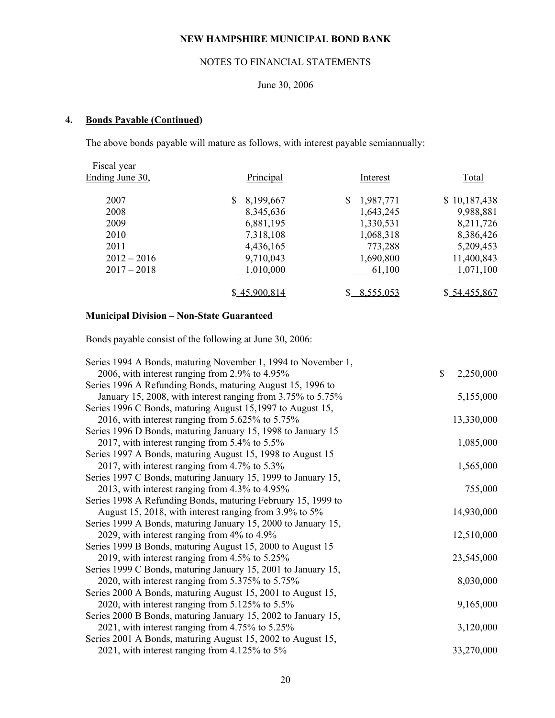## NOTES TO FINANCIAL STATEMENTS

## June 30, 2006

# **4. Bonds Payable (Continued)**

The above bonds payable will mature as follows, with interest payable semiannually:

| Fiscal year     |              |                 |               |
|-----------------|--------------|-----------------|---------------|
| Ending June 30, | Principal    | Interest        | Total         |
| 2007            | 8,199,667    | \$<br>1,987,771 | \$10,187,438  |
| 2008            | 8,345,636    | 1,643,245       | 9,988,881     |
| 2009            | 6,881,195    | 1,330,531       | 8,211,726     |
| 2010            | 7,318,108    | 1,068,318       | 8,386,426     |
| 2011            | 4,436,165    | 773,288         | 5,209,453     |
| $2012 - 2016$   | 9,710,043    | 1,690,800       | 11,400,843    |
| $2017 - 2018$   | 1,010,000    | 61,100          | 1,071,100     |
|                 | \$45,900,814 | 8,555,053       | \$ 54,455,867 |

# **Municipal Division – Non-State Guaranteed**

Bonds payable consist of the following at June 30, 2006:

| Series 1994 A Bonds, maturing November 1, 1994 to November 1, |                 |
|---------------------------------------------------------------|-----------------|
| 2006, with interest ranging from 2.9% to 4.95%                | \$<br>2,250,000 |
| Series 1996 A Refunding Bonds, maturing August 15, 1996 to    |                 |
| January 15, 2008, with interest ranging from 3.75% to 5.75%   | 5,155,000       |
| Series 1996 C Bonds, maturing August 15, 1997 to August 15,   |                 |
| 2016, with interest ranging from $5.625\%$ to $5.75\%$        | 13,330,000      |
| Series 1996 D Bonds, maturing January 15, 1998 to January 15  |                 |
| 2017, with interest ranging from 5.4% to 5.5%                 | 1,085,000       |
| Series 1997 A Bonds, maturing August 15, 1998 to August 15    |                 |
| 2017, with interest ranging from $4.7\%$ to $5.3\%$           | 1,565,000       |
| Series 1997 C Bonds, maturing January 15, 1999 to January 15, |                 |
| 2013, with interest ranging from 4.3% to 4.95%                | 755,000         |
| Series 1998 A Refunding Bonds, maturing February 15, 1999 to  |                 |
| August 15, 2018, with interest ranging from 3.9% to 5%        | 14,930,000      |
| Series 1999 A Bonds, maturing January 15, 2000 to January 15, |                 |
| 2029, with interest ranging from 4% to 4.9%                   | 12,510,000      |
| Series 1999 B Bonds, maturing August 15, 2000 to August 15    |                 |
| 2019, with interest ranging from 4.5% to 5.25%                | 23,545,000      |
| Series 1999 C Bonds, maturing January 15, 2001 to January 15, |                 |
| 2020, with interest ranging from 5.375% to 5.75%              | 8,030,000       |
| Series 2000 A Bonds, maturing August 15, 2001 to August 15,   |                 |
| 2020, with interest ranging from 5.125% to 5.5%               | 9,165,000       |
| Series 2000 B Bonds, maturing January 15, 2002 to January 15, |                 |
| 2021, with interest ranging from 4.75% to 5.25%               | 3,120,000       |
| Series 2001 A Bonds, maturing August 15, 2002 to August 15,   |                 |
| 2021, with interest ranging from 4.125% to 5%                 | 33,270,000      |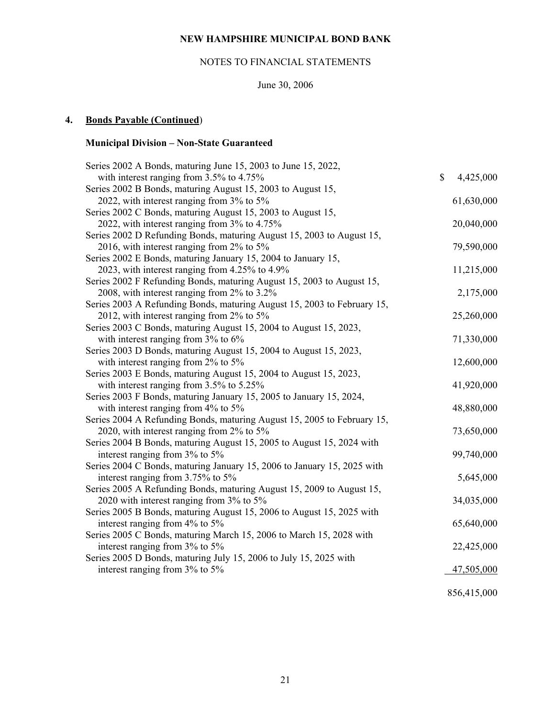# NOTES TO FINANCIAL STATEMENTS

# June 30, 2006

# **4. Bonds Payable (Continued**)

# **Municipal Division – Non-State Guaranteed**

| Series 2002 A Bonds, maturing June 15, 2003 to June 15, 2022,           |              |            |
|-------------------------------------------------------------------------|--------------|------------|
| with interest ranging from 3.5% to 4.75%                                | $\mathbb{S}$ | 4,425,000  |
| Series 2002 B Bonds, maturing August 15, 2003 to August 15,             |              |            |
| 2022, with interest ranging from 3% to 5%                               |              | 61,630,000 |
| Series 2002 C Bonds, maturing August 15, 2003 to August 15,             |              |            |
| 2022, with interest ranging from 3% to 4.75%                            |              | 20,040,000 |
| Series 2002 D Refunding Bonds, maturing August 15, 2003 to August 15,   |              |            |
| 2016, with interest ranging from 2% to 5%                               |              | 79,590,000 |
| Series 2002 E Bonds, maturing January 15, 2004 to January 15,           |              |            |
| 2023, with interest ranging from 4.25% to 4.9%                          |              | 11,215,000 |
| Series 2002 F Refunding Bonds, maturing August 15, 2003 to August 15,   |              |            |
| 2008, with interest ranging from 2% to 3.2%                             |              | 2,175,000  |
| Series 2003 A Refunding Bonds, maturing August 15, 2003 to February 15, |              |            |
| 2012, with interest ranging from $2\%$ to $5\%$                         |              | 25,260,000 |
| Series 2003 C Bonds, maturing August 15, 2004 to August 15, 2023,       |              |            |
| with interest ranging from $3\%$ to $6\%$                               |              | 71,330,000 |
| Series 2003 D Bonds, maturing August 15, 2004 to August 15, 2023,       |              |            |
| with interest ranging from 2% to 5%                                     |              | 12,600,000 |
| Series 2003 E Bonds, maturing August 15, 2004 to August 15, 2023,       |              |            |
| with interest ranging from $3.5\%$ to $5.25\%$                          |              | 41,920,000 |
| Series 2003 F Bonds, maturing January 15, 2005 to January 15, 2024,     |              |            |
| with interest ranging from $4\%$ to $5\%$                               |              | 48,880,000 |
| Series 2004 A Refunding Bonds, maturing August 15, 2005 to February 15, |              |            |
| 2020, with interest ranging from $2\%$ to $5\%$                         |              | 73,650,000 |
| Series 2004 B Bonds, maturing August 15, 2005 to August 15, 2024 with   |              |            |
| interest ranging from 3% to 5%                                          |              | 99,740,000 |
| Series 2004 C Bonds, maturing January 15, 2006 to January 15, 2025 with |              |            |
| interest ranging from 3.75% to 5%                                       |              | 5,645,000  |
| Series 2005 A Refunding Bonds, maturing August 15, 2009 to August 15,   |              |            |
| 2020 with interest ranging from 3% to 5%                                |              | 34,035,000 |
| Series 2005 B Bonds, maturing August 15, 2006 to August 15, 2025 with   |              |            |
| interest ranging from 4% to 5%                                          |              | 65,640,000 |
| Series 2005 C Bonds, maturing March 15, 2006 to March 15, 2028 with     |              |            |
| interest ranging from 3% to 5%                                          |              | 22,425,000 |
| Series 2005 D Bonds, maturing July 15, 2006 to July 15, 2025 with       |              |            |
| interest ranging from 3% to 5%                                          |              | 47,505,000 |
|                                                                         |              |            |

856,415,000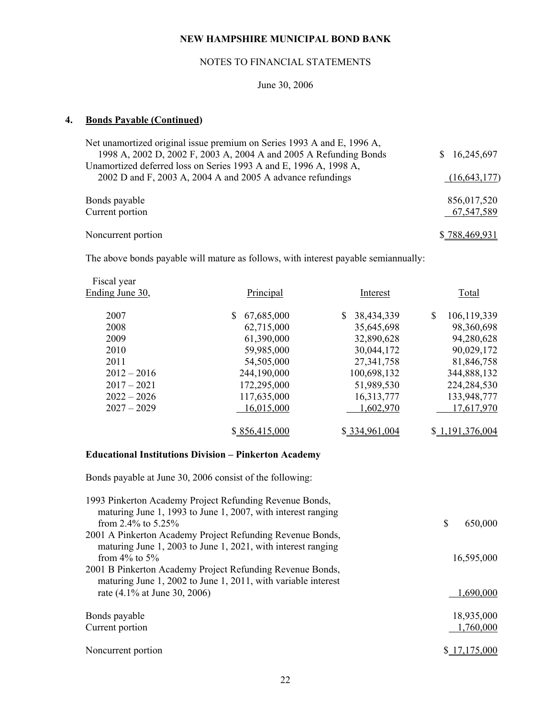## NOTES TO FINANCIAL STATEMENTS

June 30, 2006

# **4. Bonds Payable (Continued)**

| 16,245,697<br>S.     |
|----------------------|
|                      |
| (16, 643, 177)       |
|                      |
| 856,017,520          |
| 67,547,589           |
|                      |
| <u>\$788,469,931</u> |
|                      |

The above bonds payable will mature as follows, with interest payable semiannually:

| Principal     | Interest                                             | <b>Total</b>                                         |
|---------------|------------------------------------------------------|------------------------------------------------------|
|               |                                                      | \$<br>106,119,339                                    |
|               |                                                      | 98,360,698                                           |
|               |                                                      | 94,280,628                                           |
|               |                                                      | 90,029,172                                           |
| 54,505,000    | 27, 341, 758                                         | 81,846,758                                           |
| 244,190,000   | 100,698,132                                          | 344,888,132                                          |
| 172,295,000   | 51,989,530                                           | 224, 284, 530                                        |
| 117,635,000   | 16,313,777                                           | 133,948,777                                          |
| 16,015,000    | 1,602,970                                            | 17,617,970                                           |
|               |                                                      |                                                      |
| \$856,415,000 | \$334,961,004                                        | 1.191.376,004                                        |
|               | 67,685,000<br>62,715,000<br>61,390,000<br>59,985,000 | 38,434,339<br>35,645,698<br>32,890,628<br>30,044,172 |

# **Educational Institutions Division – Pinkerton Academy**

Bonds payable at June 30, 2006 consist of the following:

| 1993 Pinkerton Academy Project Refunding Revenue Bonds,<br>maturing June 1, 1993 to June 1, 2007, with interest ranging<br>from 2.4% to $5.25\%$ | \$<br>650,000 |
|--------------------------------------------------------------------------------------------------------------------------------------------------|---------------|
| 2001 A Pinkerton Academy Project Refunding Revenue Bonds,                                                                                        |               |
| maturing June 1, 2003 to June 1, 2021, with interest ranging                                                                                     |               |
| from $4\%$ to $5\%$                                                                                                                              | 16,595,000    |
| 2001 B Pinkerton Academy Project Refunding Revenue Bonds,<br>maturing June 1, 2002 to June 1, 2011, with variable interest                       |               |
| rate (4.1% at June 30, 2006)                                                                                                                     | 1.690.000     |
| Bonds payable                                                                                                                                    | 18,935,000    |
| Current portion                                                                                                                                  | 1,760,000     |
| Noncurrent portion                                                                                                                               |               |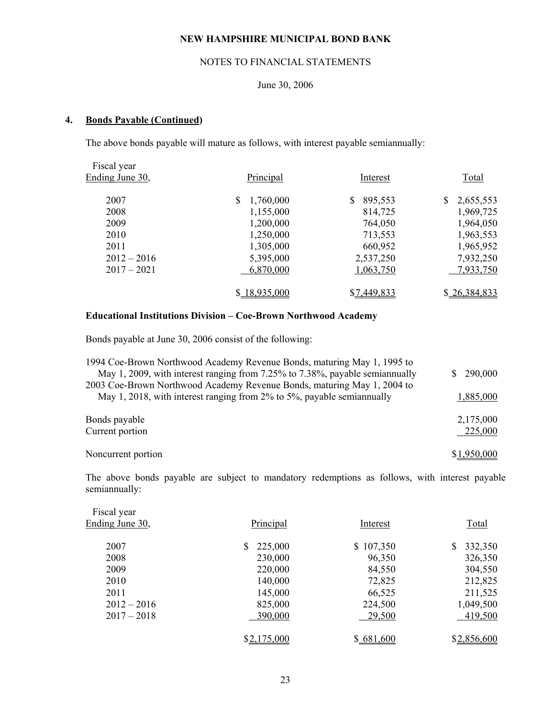# NOTES TO FINANCIAL STATEMENTS

## June 30, 2006

## **4. Bonds Payable (Continued)**

The above bonds payable will mature as follows, with interest payable semiannually:

| Fiscal year     |                |               |                 |
|-----------------|----------------|---------------|-----------------|
| Ending June 30, | Principal      | Interest      | Total           |
| 2007            | 1,760,000<br>S | \$<br>895,553 | 2,655,553<br>\$ |
| 2008            | 1,155,000      | 814,725       | 1,969,725       |
| 2009            | 1,200,000      | 764,050       | 1,964,050       |
| 2010            | 1,250,000      | 713,553       | 1,963,553       |
| 2011            | 1,305,000      | 660,952       | 1,965,952       |
| $2012 - 2016$   | 5,395,000      | 2,537,250     | 7,932,250       |
| $2017 - 2021$   | 6,870,000      | 1,063,750     | 7,933,750       |
|                 | \$18,935,000   | \$7,449,833   | \$26,384,833    |

#### **Educational Institutions Division – Coe-Brown Northwood Academy**

Bonds payable at June 30, 2006 consist of the following:

| 1994 Coe-Brown Northwood Academy Revenue Bonds, maturing May 1, 1995 to      |               |
|------------------------------------------------------------------------------|---------------|
| May 1, 2009, with interest ranging from 7.25% to 7.38%, payable semiannually | 290,000<br>S. |
| 2003 Coe-Brown Northwood Academy Revenue Bonds, maturing May 1, 2004 to      |               |
| May 1, 2018, with interest ranging from 2% to 5%, payable semiannually       | 1,885,000     |
|                                                                              |               |
| Bonds payable                                                                | 2,175,000     |
| Current portion                                                              | 225,000       |
|                                                                              |               |
| Noncurrent portion                                                           | 1.950.000     |
|                                                                              |               |

 The above bonds payable are subject to mandatory redemptions as follows, with interest payable semiannually:

| Fiscal year     |             |           |              |
|-----------------|-------------|-----------|--------------|
| Ending June 30, | Principal   | Interest  | <b>Total</b> |
|                 |             |           |              |
| 2007            | 225,000     | \$107,350 | 332,350      |
| 2008            | 230,000     | 96,350    | 326,350      |
| 2009            | 220,000     | 84,550    | 304,550      |
| 2010            | 140,000     | 72,825    | 212,825      |
| 2011            | 145,000     | 66,525    | 211,525      |
| $2012 - 2016$   | 825,000     | 224,500   | 1,049,500    |
| $2017 - 2018$   | 390,000     | 29,500    | 419,500      |
|                 |             |           |              |
|                 | \$2,175,000 | \$681,600 | \$2,856,600  |